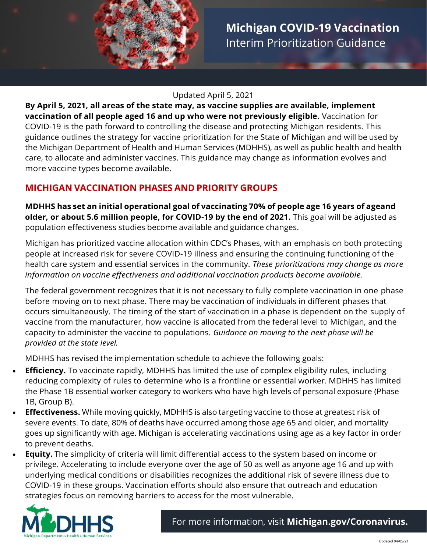

#### Updated April 5, 2021

**By April 5, 2021, all areas of the state may, as vaccine supplies are available, implement vaccination of all people aged 16 and up who were not previously eligible.** Vaccination for COVID-19 is the path forward to controlling the disease and protecting Michigan residents. This guidance outlines the strategy for vaccine prioritization for the State of Michigan and will be used by the Michigan Department of Health and Human Services (MDHHS), as well as public health and health care, to allocate and administer vaccines. This guidance may change as information evolves and more vaccine types become available.

# **MICHIGAN VACCINATION PHASES AND PRIORITY GROUPS**

**MDHHS has set an initial operational goal of vaccinating 70% of people age 16 years of ageand older, or about 5.6 million people, for COVID-19 by the end of 2021.** This goal will be adjusted as population effectiveness studies become available and guidance changes.

Michigan has prioritized vaccine allocation within CDC's Phases, with an emphasis on both protecting people at increased risk for severe COVID-19 illness and ensuring the continuing functioning of the health care system and essential services in the community. *These prioritizations may change as more information on vaccine effectiveness and additional vaccination products become available.*

The federal government recognizes that it is not necessary to fully complete vaccination in one phase before moving on to next phase. There may be vaccination of individuals in different phases that occurs simultaneously. The timing of the start of vaccination in a phase is dependent on the supply of vaccine from the manufacturer, how vaccine is allocated from the federal level to Michigan, and the capacity to administer the vaccine to populations. *Guidance on moving to the next phase will be provided at the state level.*

MDHHS has revised the implementation schedule to achieve the following goals:

- **intense** reducing complexity of rules to determine who is a frontline or essential worker. MDHHS has limited **exposure,** the Phase 1B essential worker category to workers who have high levels of personal exposure (Phase **Efficiency.** To vaccinate rapidly, MDHHS has limited the use of complex eligibility rules, including 1B, Group B).
- **Effectiveness.** While moving quickly, MDHHS is also targeting vaccine to those at greatest risk of severe events. To date, 80% of deaths have occurred among those age 65 and older, and mortality goes up significantly with age. Michigan is accelerating vaccinations using age as a key factor in order to prevent deaths.
- **Equity.** The simplicity of criteria will limit differential access to the system based on income or privilege. Accelerating to include everyone over the age of 50 as well as anyone age 16 and up with underlying medical conditions or disabilities recognizes the additional risk of severe illness due to COVID-19 in these groups. Vaccination efforts should also ensure that outreach and education strategies focus on removing barriers to access for the most vulnerable.

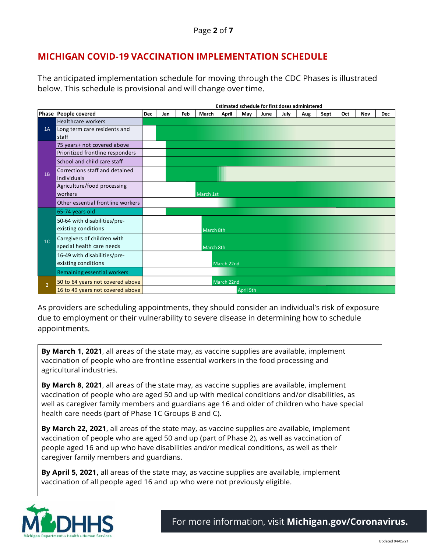## **MICHIGAN COVID-19 VACCINATION IMPLEMENTATION SCHEDULE**

The anticipated implementation schedule for moving through the CDC Phases is illustrated below. This schedule is provisional and will change over time.

|                |                                               | <b>Estimated schedule for first doses administered</b> |     |     |           |            |     |      |      |     |      |     |     |            |
|----------------|-----------------------------------------------|--------------------------------------------------------|-----|-----|-----------|------------|-----|------|------|-----|------|-----|-----|------------|
|                | Phase People covered                          | <b>Dec</b>                                             | Jan | Feb | March     | April      | May | June | July | Aug | Sept | Oct | Nov | <b>Dec</b> |
| 1A             | <b>Healthcare workers</b>                     |                                                        |     |     |           |            |     |      |      |     |      |     |     |            |
|                | Long term care residents and                  |                                                        |     |     |           |            |     |      |      |     |      |     |     |            |
|                | staff                                         |                                                        |     |     |           |            |     |      |      |     |      |     |     |            |
| 1B             | 75 years+ not covered above                   |                                                        |     |     |           |            |     |      |      |     |      |     |     |            |
|                | Prioritized frontline responders              |                                                        |     |     |           |            |     |      |      |     |      |     |     |            |
|                | School and child care staff                   |                                                        |     |     |           |            |     |      |      |     |      |     |     |            |
|                | Corrections staff and detained<br>individuals |                                                        |     |     |           |            |     |      |      |     |      |     |     |            |
|                | Agriculture/food processing<br>workers        |                                                        |     |     | March 1st |            |     |      |      |     |      |     |     |            |
|                | Other essential frontline workers             |                                                        |     |     |           |            |     |      |      |     |      |     |     |            |
| 1 <sup>C</sup> | 65-74 years old                               |                                                        |     |     |           |            |     |      |      |     |      |     |     |            |
|                | 50-64 with disabilities/pre-                  |                                                        |     |     |           |            |     |      |      |     |      |     |     |            |
|                | existing conditions                           |                                                        |     |     | March 8th |            |     |      |      |     |      |     |     |            |
|                | Caregivers of children with                   |                                                        |     |     |           |            |     |      |      |     |      |     |     |            |
|                | special health care needs                     |                                                        |     |     | March 8th |            |     |      |      |     |      |     |     |            |
|                | 16-49 with disabilities/pre-                  |                                                        |     |     |           |            |     |      |      |     |      |     |     |            |
|                | existing conditions                           |                                                        |     |     |           | March 22nd |     |      |      |     |      |     |     |            |
|                | Remaining essential workers                   |                                                        |     |     |           |            |     |      |      |     |      |     |     |            |
| $\overline{2}$ | 50 to 64 years not covered above              |                                                        |     |     |           | March 22nd |     |      |      |     |      |     |     |            |
|                | 16 to 49 years not covered above              | April 5th                                              |     |     |           |            |     |      |      |     |      |     |     |            |

As providers are scheduling appointments, they should consider an individual's risk of exposure due to employment or their vulnerability to severe disease in determining how to schedule appointments.

**By March 1, 2021**, all areas of the state may, as vaccine supplies are available, implement vaccination of people who are frontline essential workers in the food processing and agricultural industries.

**By March 8, 2021**, all areas of the state may, as vaccine supplies are available, implement vaccination of people who are aged 50 and up with medical conditions and/or disabilities, as well as caregiver family members and guardians age 16 and older of children who have special health care needs (part of Phase 1C Groups B and C).

**By March 22, 2021**, all areas of the state may, as vaccine supplies are available, implement vaccination of people who are aged 50 and up (part of Phase 2), as well as vaccination of people aged 16 and up who have disabilities and/or medical conditions, as well as their caregiver family members and guardians.

**By April 5, 2021,** all areas of the state may, as vaccine supplies are available, implement vaccination of all people aged 16 and up who were not previously eligible.

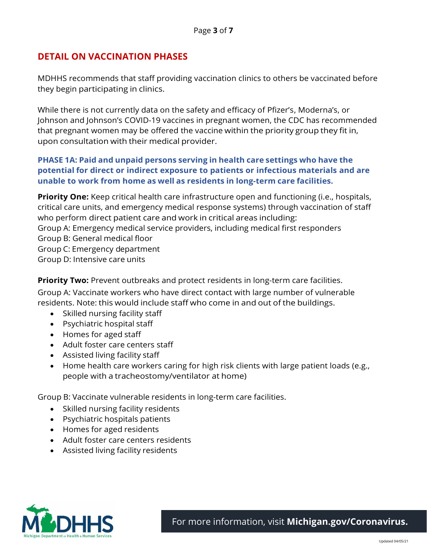### **DETAIL ON VACCINATION PHASES**

MDHHS recommends that staff providing vaccination clinics to others be vaccinated before they begin participating in clinics.

While there is not currently data on the safety and efficacy of Pfizer's, Moderna's, or Johnson and Johnson's COVID-19 vaccines in pregnant women, the CDC has recommended that pregnant women may be offered the vaccine within the priority group they fit in, upon consultation with their medical provider.

#### **PHASE 1A: Paid and unpaid persons serving in health care settings who have the potential for direct or indirect exposure to patients or infectious materials and are unable to work from home as well as residents in long-term care facilities.**

**Priority One:** Keep critical health care infrastructure open and functioning (i.e., hospitals, critical care units, and emergency medical response systems) through vaccination of staff who perform direct patient care and work in critical areas including: Group A: Emergency medical service providers, including medical first responders Group B: General medical floor Group C: Emergency department Group D: Intensive care units

**Priority Two:** Prevent outbreaks and protect residents in long-term care facilities. Group A: Vaccinate workers who have direct contact with large number of vulnerable residents. Note: this would include staff who come in and out of the buildings.

- Skilled nursing facility staff
- Psychiatric hospital staff
- Homes for aged staff
- Adult foster care centers staff
- Assisted living facility staff
- Home health care workers caring for high risk clients with large patient loads (e.g., people with a tracheostomy/ventilator at home)

Group B: Vaccinate vulnerable residents in long-term care facilities.

- Skilled nursing facility residents
- Psychiatric hospitals patients
- Homes for aged residents
- Adult foster care centers residents
- Assisted living facility residents

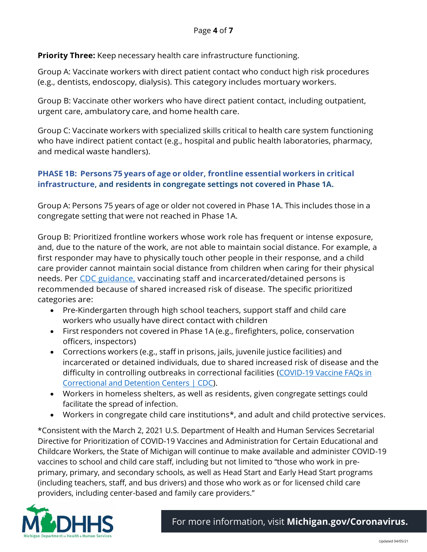**Priority Three:** Keep necessary health care infrastructure functioning.

Group A: Vaccinate workers with direct patient contact who conduct high risk procedures (e.g., dentists, endoscopy, dialysis). This category includes mortuary workers.

Group B: Vaccinate other workers who have direct patient contact, including outpatient, urgent care, ambulatory care, and home health care.

Group C: Vaccinate workers with specialized skills critical to health care system functioning who have indirect patient contact (e.g., hospital and public health laboratories, pharmacy, and medical waste handlers).

### **PHASE 1B: Persons 75 years of age or older, frontline essential workers in critical infrastructure, and residents in congregate settings not covered in Phase 1A.**

Group A: Persons 75 years of age or older not covered in Phase 1A. This includes those in a congregate setting that were not reached in Phase 1A.

Group B: Prioritized frontline workers whose work role has frequent or intense exposure, and, due to the nature of the work, are not able to maintain social distance. For example, a first responder may have to physically touch other people in their response, and a child care provider cannot maintain social distance from children when caring for their physical needs. Per [CDC guidance,](https://www.cdc.gov/coronavirus/2019-ncov/community/correction-detention/vaccine-faqs.html) vaccinating staff and incarcerated/detained persons is recommended because of shared increased risk of disease. The specific prioritized categories are:

- Pre-Kindergarten through high school teachers, support staff and child care workers who usually have direct contact with children
- First responders not covered in Phase 1A (e.g., firefighters, police, conservation officers, inspectors)
- Corrections workers (e.g., staff in prisons, jails, juvenile justice facilities) and incarcerated or detained individuals, due to shared increased risk of disease and the difficulty in controlling outbreaks in correctional facilities [\(COVID-19 Vaccine FAQs in](https://www.cdc.gov/coronavirus/2019-ncov/community/correction-detention/vaccine-faqs.html)  [Correctional and Detention Centers | CDC\)](https://www.cdc.gov/coronavirus/2019-ncov/community/correction-detention/vaccine-faqs.html).
- Workers in homeless shelters, as well as residents, given congregate settings could facilitate the spread of infection.
- Workers in congregate child care institutions\*, and adult and child protective services.

\*Consistent with the March 2, 2021 U.S. Department of Health and Human Services Secretarial Directive for Prioritization of COVID-19 Vaccines and Administration for Certain Educational and Childcare Workers, the State of Michigan will continue to make available and administer COVID-19 vaccines to school and child care staff, including but not limited to "those who work in preprimary, primary, and secondary schools, as well as Head Start and Early Head Start programs (including teachers, staff, and bus drivers) and those who work as or for licensed child care providers, including center-based and family care providers."

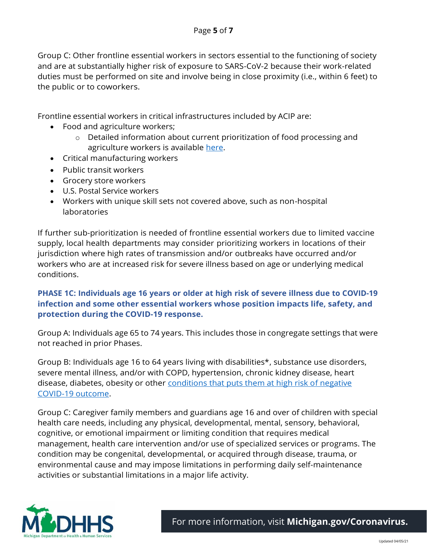Group C: Other frontline essential workers in sectors essential to the functioning of society and are at substantially higher risk of exposure to SARS-CoV-2 because their work-related duties must be performed on site and involve being in close proximity (i.e., within 6 feet) to the public or to coworkers.

Frontline essential workers in critical infrastructures included by ACIP are:

- Food and agriculture workers;
	- o Detailed information about current prioritization of food processing and agriculture workers is available [here.](https://www.michigan.gov/documents/coronavirus/Ag_Worker_Vaccine_022621_717644_7.pdf)
- Critical manufacturing workers
- Public transit workers
- Grocery store workers
- U.S. Postal Service workers
- Workers with unique skill sets not covered above, such as non-hospital laboratories

If further sub-prioritization is needed of frontline essential workers due to limited vaccine supply, local health departments may consider prioritizing workers in locations of their jurisdiction where high rates of transmission and/or outbreaks have occurred and/or workers who are at increased risk for severe illness based on age or underlying medical conditions.

### **PHASE 1C: Individuals age 16 years or older at high risk of severe illness due to COVID-19 infection and some other essential workers whose position impacts life, safety, and protection during the COVID-19 response.**

Group A: Individuals age 65 to 74 years. This includes those in congregate settings that were not reached in prior Phases.

Group B: Individuals age 16 to 64 years living with disabilities\*, substance use disorders, severe mental illness, and/or with COPD, hypertension, chronic kidney disease, heart disease, diabetes, obesity or other conditions that puts them at high risk of negative [COVID-19 outcome.](https://www.cdc.gov/coronavirus/2019-ncov/need-extra-precautions/people-with-medical-conditions.html)

Group C: Caregiver family members and guardians age 16 and over of children with special health care needs, including any physical, developmental, mental, sensory, behavioral, cognitive, or emotional impairment or limiting condition that requires medical management, health care intervention and/or use of specialized services or programs. The condition may be congenital, developmental, or acquired through disease, trauma, or environmental cause and may impose limitations in performing daily self-maintenance activities or substantial limitations in a major life activity.

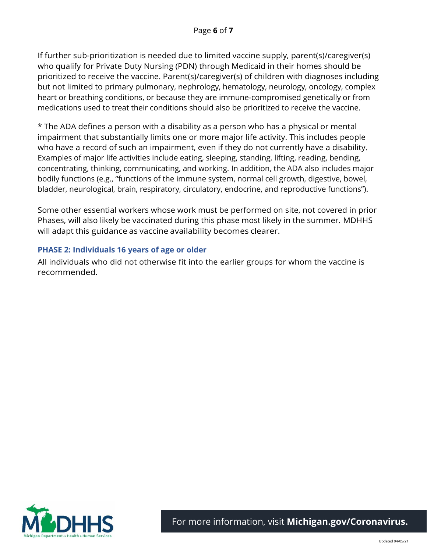If further sub-prioritization is needed due to limited vaccine supply, parent(s)/caregiver(s) who qualify for Private Duty Nursing (PDN) through Medicaid in their homes should be prioritized to receive the vaccine. Parent(s)/caregiver(s) of children with diagnoses including but not limited to primary pulmonary, nephrology, hematology, neurology, oncology, complex heart or breathing conditions, or because they are immune-compromised genetically or from medications used to treat their conditions should also be prioritized to receive the vaccine.

\* The ADA defines a person with a disability as a person who has a physical or mental impairment that substantially limits one or more major life activity. This includes people who have a record of such an impairment, even if they do not currently have a disability. Examples of major life activities include eating, sleeping, standing, lifting, reading, bending, concentrating, thinking, communicating, and working. In addition, the ADA also includes major bodily functions (e.g., "functions of the immune system, normal cell growth, digestive, bowel, bladder, neurological, brain, respiratory, circulatory, endocrine, and reproductive functions").

Some other essential workers whose work must be performed on site, not covered in prior Phases, will also likely be vaccinated during this phase most likely in the summer. MDHHS will adapt this guidance as vaccine availability becomes clearer.

#### **PHASE 2: Individuals 16 years of age or older**

All individuals who did not otherwise fit into the earlier groups for whom the vaccine is recommended.

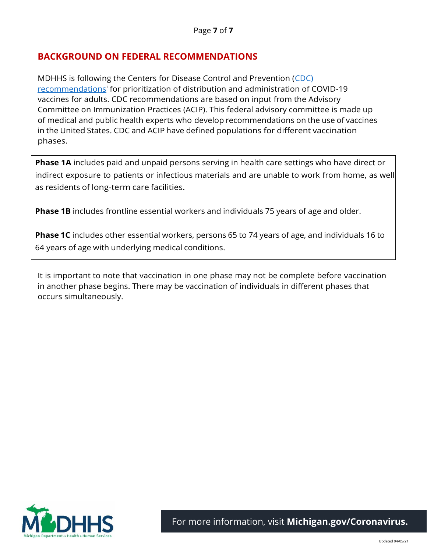## **BACKGROUND ON FEDERAL RECOMMENDATIONS**

MDHHS is following the Centers for Disease Control and Prevention [\(CDC\)](https://www.cdc.gov/mmwr/volumes/69/wr/mm695152e2.htm?s_cid=mm695152e2_w)  [recommendations](https://www.cdc.gov/mmwr/volumes/69/wr/mm695152e2.htm?s_cid=mm695152e2_w)<sup>i</sup> for prioritization of distribution and administration of COVID-19 vaccines for adults. CDC recommendations are based on input from the Advisory Committee on Immunization Practices (ACIP). This federal advisory committee is made up of medical and public health experts who develop recommendations on the use of vaccines in the United States. CDC and ACIP have defined populations for different vaccination phases.

**Phase 1A** includes paid and unpaid persons serving in health care settings who have direct or indirect exposure to patients or infectious materials and are unable to work from home, as well as residents of long-term care facilities.

**Phase 1B** includes frontline essential workers and individuals 75 years of age and older.

**Phase 1C** includes other essential workers, persons 65 to 74 years of age, and individuals 16 to 64 years of age with underlying medical conditions.

It is important to note that vaccination in one phase may not be complete before vaccination in another phase begins. There may be vaccination of individuals in different phases that occurs simultaneously.

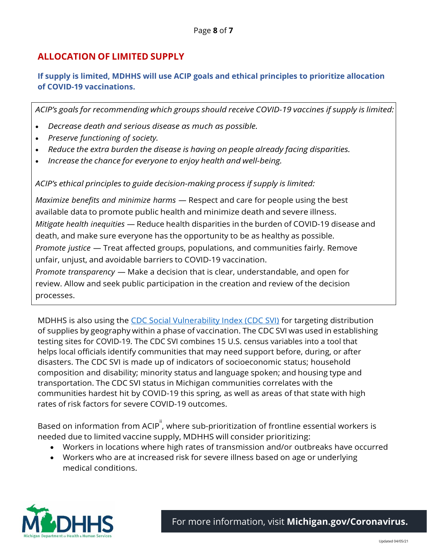# **ALLOCATION OF LIMITED SUPPLY**

### **If supply is limited, MDHHS will use ACIP goals and ethical principles to prioritize allocation of COVID-19 vaccinations.**

*ACIP's goals for recommending which groups should receive COVID-19 vaccines if supply is limited:*

- *Decrease death and serious disease as much as possible.*
- *Preserve functioning of society.*
- *Reduce the extra burden the disease is having on people already facing disparities.*
- *Increase the chance for everyone to enjoy health and well-being.*

*ACIP's ethical principles to guide decision-making process if supply is limited:*

*Maximize benefits and minimize harms* — Respect and care for people using the best available data to promote public health and minimize death and severe illness. *Mitigate health inequities* — Reduce health disparities in the burden of COVID-19 disease and death, and make sure everyone has the opportunity to be as healthy as possible. *Promote justice* — Treat affected groups, populations, and communities fairly. Remove unfair, unjust, and avoidable barriers to COVID-19 vaccination.

*Promote transparency* — Make a decision that is clear, understandable, and open for review. Allow and seek public participation in the creation and review of the decision processes.

MDHHS is also using the [CDC Social Vulnerability Index \(CDC SVI\)](https://www.atsdr.cdc.gov/placeandhealth/svi/index.html) for targeting distribution of supplies by geography within a phase of vaccination. The CDC SVI was used in establishing testing sites for COVID-19. The CDC SVI combines 15 U.S. census variables into a tool that helps local officials identify communities that may need support before, during, or after disasters. The CDC SVI is made up of indicators of socioeconomic status; household composition and disability; minority status and language spoken; and housing type and transportation. The CDC SVI status in Michigan communities correlates with the communities hardest hit by COVID-19 this spring, as well as areas of that state with high rates of risk factors for severe COVID-19 outcomes.

Based on information from ACIP $^{\parallel}$ , where sub-prioritization of frontline essential workers is needed due to limited vaccine supply, MDHHS will consider prioritizing:

- Workers in locations where high rates of transmission and/or outbreaks have occurred
- Workers who are at increased risk for severe illness based on age or underlying medical conditions.